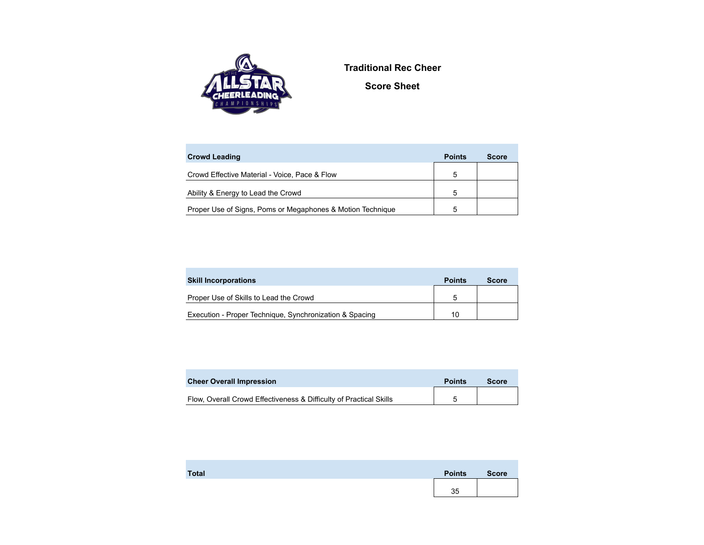

**Traditional Rec Cheer**

**Score Sheet**

| <b>Crowd Leading</b>                                       | <b>Points</b> | <b>Score</b> |
|------------------------------------------------------------|---------------|--------------|
| Crowd Effective Material - Voice, Pace & Flow              | 5             |              |
| Ability & Energy to Lead the Crowd                         | 5             |              |
| Proper Use of Signs, Poms or Megaphones & Motion Technique | 5             |              |

| <b>Skill Incorporations</b>                             | <b>Points</b> | <b>Score</b> |
|---------------------------------------------------------|---------------|--------------|
| Proper Use of Skills to Lead the Crowd                  | .h            |              |
| Execution - Proper Technique, Synchronization & Spacing | 10            |              |

| <b>Cheer Overall Impression</b>                                    | <b>Points</b> | Score |
|--------------------------------------------------------------------|---------------|-------|
| Flow, Overall Crowd Effectiveness & Difficulty of Practical Skills |               |       |
|                                                                    |               |       |

| <b>Total</b> | <b>Points</b> | <b>Score</b> |
|--------------|---------------|--------------|
|              | 35            |              |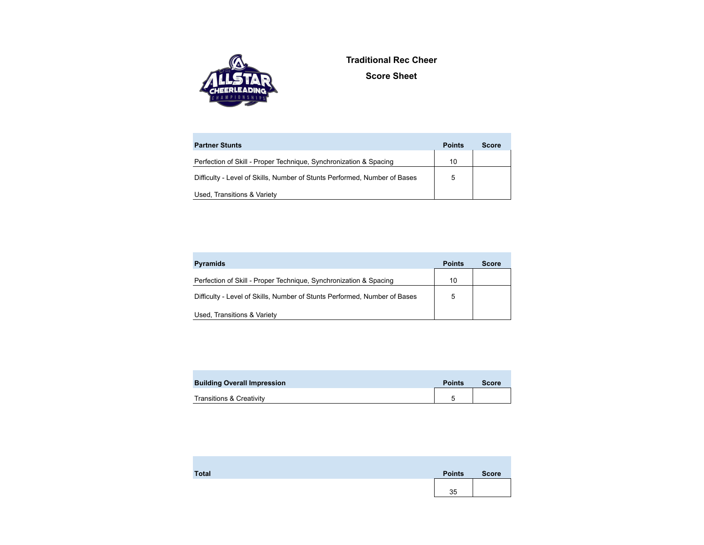

**Traditional Rec Cheer Score Sheet**

| <b>Partner Stunts</b>                                                     | <b>Points</b> | <b>Score</b> |
|---------------------------------------------------------------------------|---------------|--------------|
| Perfection of Skill - Proper Technique, Synchronization & Spacing         | 10            |              |
| Difficulty - Level of Skills, Number of Stunts Performed, Number of Bases | 5             |              |
| Used, Transitions & Variety                                               |               |              |

| <b>Pyramids</b>                                                           | <b>Points</b> | <b>Score</b> |
|---------------------------------------------------------------------------|---------------|--------------|
| Perfection of Skill - Proper Technique, Synchronization & Spacing         | 10            |              |
| Difficulty - Level of Skills, Number of Stunts Performed, Number of Bases | 5             |              |
| Used, Transitions & Variety                                               |               |              |

| <b>Building Overall Impression</b>  | <b>Points</b> | <b>Score</b> |
|-------------------------------------|---------------|--------------|
| <b>Transitions &amp; Creativity</b> |               |              |

| <b>Total</b> | <b>Points</b> | <b>Score</b> |
|--------------|---------------|--------------|
|              |               |              |
|              | 35            |              |